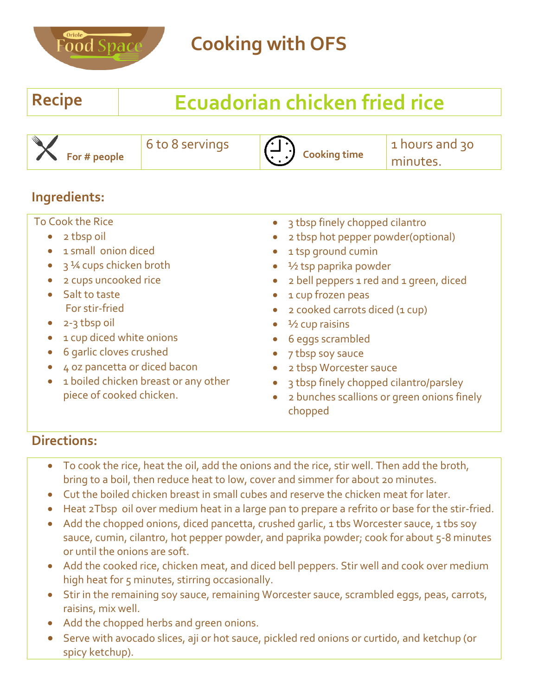

# **Recipe Ecuadorian chicken fried rice**

 **For # people**

6 to 8 servings

**Cooking time**

1 hours and 30 minutes.

### **Ingredients:**

To Cook the Rice

- 2 tbsp oil
- 1 small onion diced
- $\bullet$  3 ¼ cups chicken broth
- 2 cups uncooked rice
- Salt to taste For stir-fried
- $\bullet$  2-3 tbsp oil
- 1 cup diced white onions
- 6 garlic cloves crushed
- 4 oz pancetta or diced bacon
- 1 boiled chicken breast or any other piece of cooked chicken.
- 3 tbsp finely chopped cilantro
- 2 tbsp hot pepper powder(optional)
- 1 tsp ground cumin
- ½ tsp paprika powder
- 2 bell peppers 1 red and 1 green, diced
- 1 cup frozen peas
- 2 cooked carrots diced (1 cup)
- ½ cup raisins
- 6 eggs scrambled
- 7 tbsp soy sauce
- 2 tbsp Worcester sauce
- 3 tbsp finely chopped cilantro/parsley
- 2 bunches scallions or green onions finely chopped

- To cook the rice, heat the oil, add the onions and the rice, stir well. Then add the broth, bring to a boil, then reduce heat to low, cover and simmer for about 20 minutes.
- Cut the boiled chicken breast in small cubes and reserve the chicken meat for later.
- Heat 2Tbsp oil over medium heat in a large pan to prepare a refrito or base for the stir-fried.
- Add the chopped onions, diced pancetta, crushed garlic, 1 tbs Worcester sauce, 1 tbs soy sauce, cumin, cilantro, hot pepper powder, and paprika powder; cook for about 5-8 minutes or until the onions are soft.
- Add the cooked rice, chicken meat, and diced bell peppers. Stir well and cook over medium high heat for 5 minutes, stirring occasionally.
- Stir in the remaining soy sauce, remaining Worcester sauce, scrambled eggs, peas, carrots, raisins, mix well.
- Add the chopped herbs and green onions.
- Serve with avocado slices, aji or hot sauce, pickled red onions or curtido, and ketchup (or spicy ketchup).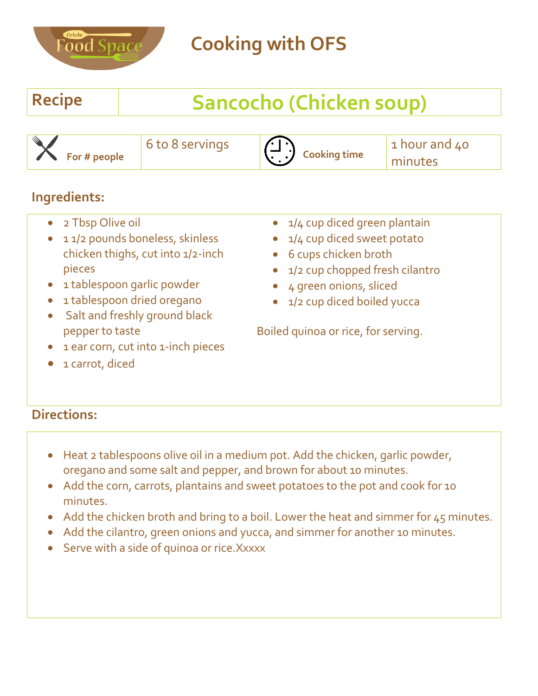

# **Recipe Sancocho (Chicken soup)**

| a di S | $\blacktriangleright$ For # people | 6 to 8 servings | .<br><b>Cooking time</b> | 1 hour and 40<br>minutes |
|--------|------------------------------------|-----------------|--------------------------|--------------------------|
|        |                                    |                 |                          |                          |

#### **Ingredients:**

• 2 Tbsp Olive oil

1 carrot, diced

- 11/2 pounds boneless, skinless chicken thighs, cut into 1/2-inch pieces
- 1 tablespoon garlic powder
- 1 tablespoon dried oregano
- Salt and freshly ground black pepper to taste
- 1 ear corn, cut into 1-inch pieces
- 1/4 cup diced green plantain
- 1/4 cup diced sweet potato
- 6 cups chicken broth
- 1/2 cup chopped fresh cilantro
- 4 green onions, sliced
- 1/2 cup diced boiled yucca

Boiled quinoa or rice, for serving.

- Heat 2 tablespoons olive oil in a medium pot. Add the chicken, garlic powder, oregano and some salt and pepper, and brown for about 10 minutes.
- Add the corn, carrots, plantains and sweet potatoes to the pot and cook for 10 minutes.
- Add the chicken broth and bring to a boil. Lower the heat and simmer for 45 minutes.
- Add the cilantro, green onions and yucca, and simmer for another 10 minutes.
- Serve with a side of quinoa or rice. Xxxxx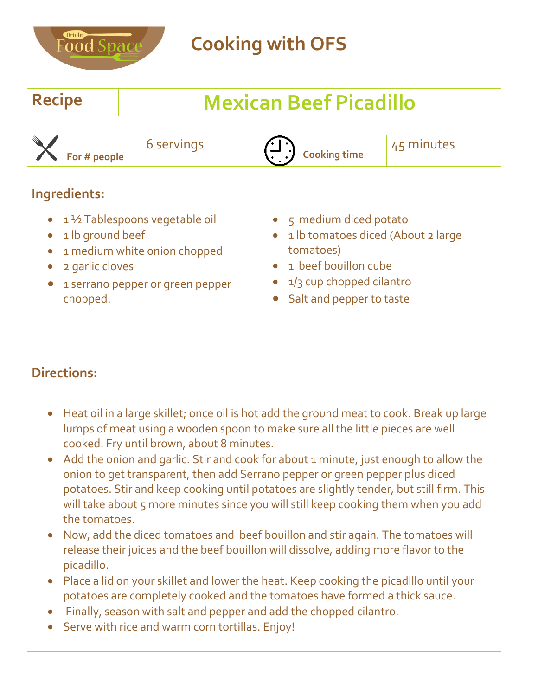

### **Recipe Mexican Beef Picadillo**

#### **Ingredients:**

- 1½ Tablespoons vegetable oil
- 1 lb ground beef
- 1 medium white onion chopped
- 2 garlic cloves
- **1 serrano pepper or green pepper** chopped.
- 5 medium diced potato
- 1 lb tomatoes diced (About 2 large tomatoes)
- 1 beef bouillon cube
- 1/3 cup chopped cilantro
- Salt and pepper to taste

- Heat oil in a large skillet; once oil is hot add the ground meat to cook. Break up large lumps of meat using a wooden spoon to make sure all the little pieces are well cooked. Fry until brown, about 8 minutes.
- Add the onion and garlic. Stir and cook for about 1 minute, just enough to allow the onion to get transparent, then add Serrano pepper or green pepper plus diced potatoes. Stir and keep cooking until potatoes are slightly tender, but still firm. This will take about 5 more minutes since you will still keep cooking them when you add the tomatoes.
- Now, add the diced tomatoes and beef bouillon and stir again. The tomatoes will release their juices and the beef bouillon will dissolve, adding more flavor to the picadillo.
- Place a lid on your skillet and lower the heat. Keep cooking the picadillo until your potatoes are completely cooked and the tomatoes have formed a thick sauce.
- Finally, season with salt and pepper and add the chopped cilantro.
- Serve with rice and warm corn tortillas. Enjoy!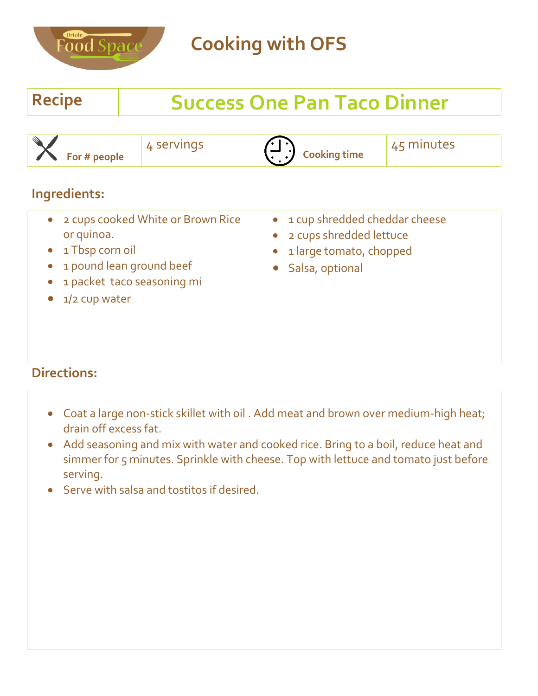

## **Recipe Success One Pan Taco Dinner**

| M<br>чшө<br>ooking time<br>For # people | minutes |
|-----------------------------------------|---------|
|-----------------------------------------|---------|

#### **Ingredients:**

- 2 cups cooked White or Brown Rice or quinoa.
- 1 Tbsp corn oil
- 1 pound lean ground beef
- 1 packet taco seasoning mi
- 1/2 cup water
- 1 cup shredded cheddar cheese
- 2 cups shredded lettuce
- 1 large tomato, chopped
- **Salsa, optional**

- Coat a large non-stick skillet with oil . Add meat and brown over medium-high heat; drain off excess fat.
- Add seasoning and mix with water and cooked rice. Bring to a boil, reduce heat and simmer for 5 minutes. Sprinkle with cheese. Top with lettuce and tomato just before serving.
- Serve with salsa and tostitos if desired.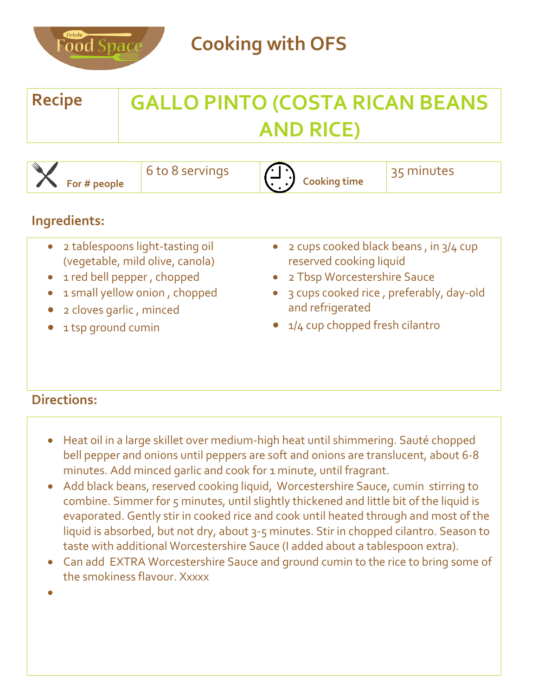

| <b>Recipe</b> | <b>GALLO PINTO (COSTA RICAN BEANS</b> |
|---------------|---------------------------------------|
|               | <b>AND RICE)</b>                      |

| - 111<br>$\sim$ 8 servings<br>$\bullet$ For # people | <b>Cooking time</b> | minutes |
|------------------------------------------------------|---------------------|---------|
|------------------------------------------------------|---------------------|---------|

#### **Ingredients:**

| $\bullet$ | 2 tablespoons light-tasting oil |
|-----------|---------------------------------|
|           | (vegetable, mild olive, canola) |

- 1 red bell pepper , chopped
- 1 small yellow onion , chopped
- 2 cloves garlic , minced
- 1 tsp ground cumin
- 2 cups cooked black beans , in 3/4 cup reserved cooking liquid
- 2 Tbsp Worcestershire Sauce
- 3 cups cooked rice , preferably, day-old and refrigerated
- 1/4 cup chopped fresh cilantro

- Heat oil in a large skillet over medium-high heat until shimmering. Sauté chopped bell pepper and onions until peppers are soft and onions are translucent, about 6-8 minutes. Add minced garlic and cook for 1 minute, until fragrant.
- Add black beans, reserved cooking liquid, Worcestershire Sauce, cumin stirring to combine. Simmer for 5 minutes, until slightly thickened and little bit of the liquid is evaporated. Gently stir in cooked rice and cook until heated through and most of the liquid is absorbed, but not dry, about 3-5 minutes. Stir in chopped cilantro. Season to taste with additional Worcestershire Sauce (I added about a tablespoon extra).
- Can add EXTRA Worcestershire Sauce and ground cumin to the rice to bring some of the smokiness flavour. Xxxxx
- $\bullet$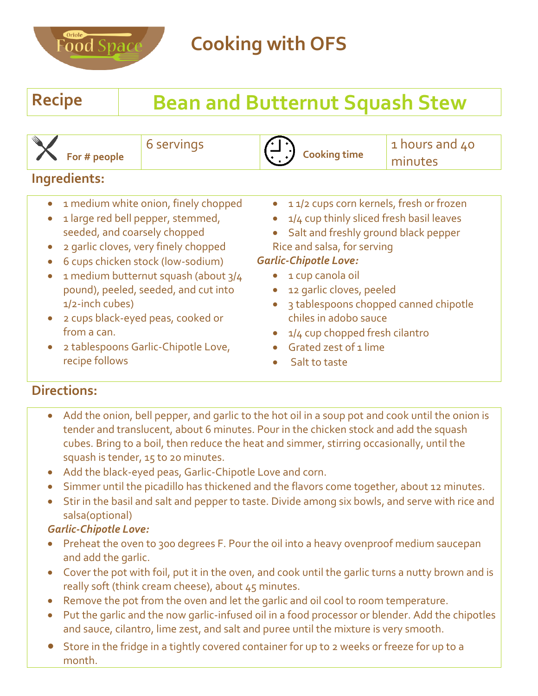

# **Recipe Bean and Butternut Squash Stew**

 **For # people**

6 servings

**Cooking time**

1 hours and 40 minutes

#### **Ingredients:**

- 1 medium white onion, finely chopped
- 1 large red bell pepper, stemmed, seeded, and coarsely chopped
- 2 garlic cloves, very finely chopped
- 6 cups chicken stock (low-sodium)
- 1 medium butternut squash (about 3/4 pound), peeled, seeded, and cut into 1/2-inch cubes)
- 2 cups black-eyed peas, cooked or from a can.
- 2 tablespoons Garlic-Chipotle Love, recipe follows
- 11/2 cups corn kernels, fresh or frozen
- $\bullet$  1/4 cup thinly sliced fresh basil leaves
- Salt and freshly ground black pepper Rice and salsa, for serving

#### *Garlic-Chipotle Love:*

- $\bullet$  1 cup canola oil
- 12 garlic cloves, peeled
- 3 tablespoons chopped canned chipotle chiles in adobo sauce
- 1/4 cup chopped fresh cilantro
- Grated zest of 1 lime
- Salt to taste

### **Directions:**

- Add the onion, bell pepper, and garlic to the hot oil in a soup pot and cook until the onion is tender and translucent, about 6 minutes. Pour in the chicken stock and add the squash cubes. Bring to a boil, then reduce the heat and simmer, stirring occasionally, until the squash is tender, 15 to 20 minutes.
- Add the black-eyed peas, Garlic-Chipotle Love and corn.
- Simmer until the picadillo has thickened and the flavors come together, about 12 minutes.
- Stir in the basil and salt and pepper to taste. Divide among six bowls, and serve with rice and salsa(optional)

#### *Garlic-Chipotle Love:*

- Preheat the oven to 300 degrees F. Pour the oil into a heavy ovenproof medium saucepan and add the garlic.
- Cover the pot with foil, put it in the oven, and cook until the garlic turns a nutty brown and is really soft (think cream cheese), about 45 minutes.
- Remove the pot from the oven and let the garlic and oil cool to room temperature.
- Put the garlic and the now garlic-infused oil in a food processor or blender. Add the chipotles and sauce, cilantro, lime zest, and salt and puree until the mixture is very smooth.
- Store in the fridge in a tightly covered container for up to 2 weeks or freeze for up to a month.